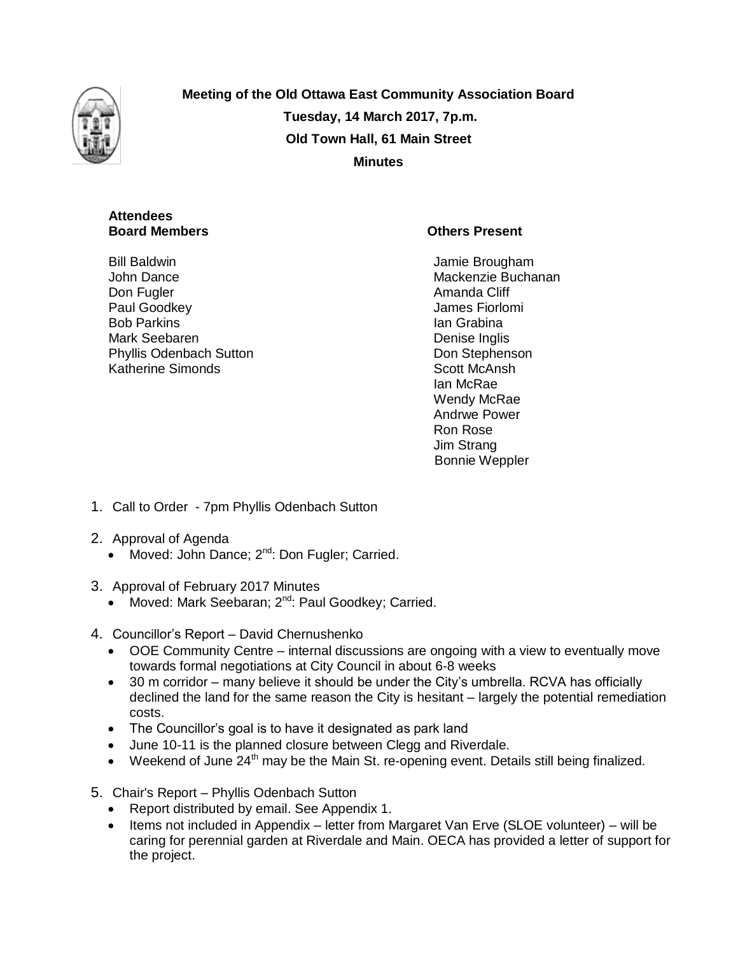

**Meeting of the Old Ottawa East Community Association Board Tuesday, 14 March 2017, 7p.m. Old Town Hall, 61 Main Street Minutes**

# **Attendees**

Bill Baldwin John Dance Don Fugler Paul Goodkey Bob Parkins Mark Seebaren Phyllis Odenbach Sutton Katherine Simonds

# **Board Members Community Community Community Community Community Community Community Community Community Community Community Community Community Community Community Community Community Community Community Community Communi**

Jamie Brougham Mackenzie Buchanan Amanda Cliff James Fiorlomi Ian Grabina Denise Inglis Don Stephenson Scott McAnsh Ian McRae Wendy McRae Andrwe Power Ron Rose Jim Strang Bonnie Weppler

- 1. Call to Order 7pm Phyllis Odenbach Sutton
- 2. Approval of Agenda
	- Moved: John Dance;  $2^{nd}$ : Don Fugler; Carried.
- 3. Approval of February 2017 Minutes
	- Moved: Mark Seebaran; 2<sup>nd</sup>: Paul Goodkey; Carried.
- 4. Councillor's Report David Chernushenko
	- OOE Community Centre internal discussions are ongoing with a view to eventually move towards formal negotiations at City Council in about 6-8 weeks
	- 30 m corridor many believe it should be under the City's umbrella. RCVA has officially declined the land for the same reason the City is hesitant – largely the potential remediation costs.
	- The Councillor's goal is to have it designated as park land
	- June 10-11 is the planned closure between Clegg and Riverdale.
	- $\bullet$  Weekend of June 24<sup>th</sup> may be the Main St. re-opening event. Details still being finalized.
- 5. Chair's Report Phyllis Odenbach Sutton
	- Report distributed by email. See Appendix 1.
	- Items not included in Appendix letter from Margaret Van Erve (SLOE volunteer) will be caring for perennial garden at Riverdale and Main. OECA has provided a letter of support for the project.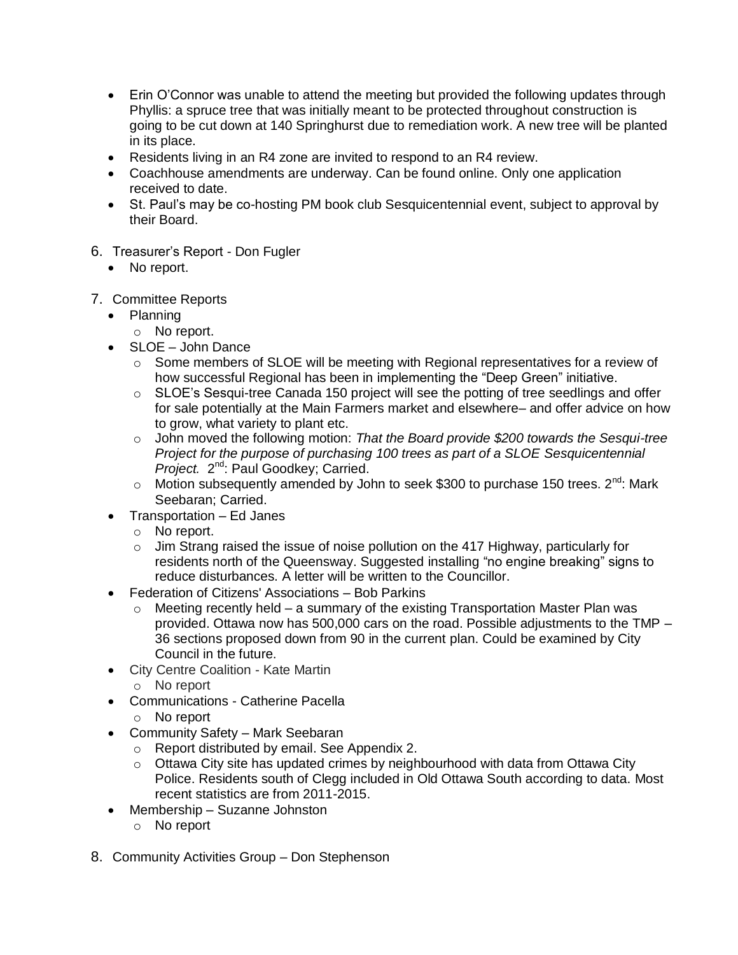- Erin O'Connor was unable to attend the meeting but provided the following updates through Phyllis: a spruce tree that was initially meant to be protected throughout construction is going to be cut down at 140 Springhurst due to remediation work. A new tree will be planted in its place.
- Residents living in an R4 zone are invited to respond to an R4 review.
- Coachhouse amendments are underway. Can be found online. Only one application received to date.
- St. Paul's may be co-hosting PM book club Sesquicentennial event, subject to approval by their Board.
- 6. Treasurer's Report Don Fugler
	- No report.
- 7. Committee Reports
	- Planning
		- o No report.
	- SLOE John Dance
		- $\circ$  Some members of SLOE will be meeting with Regional representatives for a review of how successful Regional has been in implementing the "Deep Green" initiative.
		- o SLOE's Sesqui-tree Canada 150 project will see the potting of tree seedlings and offer for sale potentially at the Main Farmers market and elsewhere– and offer advice on how to grow, what variety to plant etc.
		- o John moved the following motion: *That the Board provide \$200 towards the Sesqui-tree Project for the purpose of purchasing 100 trees as part of a SLOE Sesquicentennial*  Project. 2<sup>nd</sup>: Paul Goodkey; Carried.
		- o Motion subsequently amended by John to seek \$300 to purchase 150 trees.  $2^{nd}$ : Mark Seebaran; Carried.
	- Transportation Ed Janes
		- o No report.
		- $\circ$  Jim Strang raised the issue of noise pollution on the 417 Highway, particularly for residents north of the Queensway. Suggested installing "no engine breaking" signs to reduce disturbances. A letter will be written to the Councillor.
	- Federation of Citizens' Associations Bob Parkins
		- o Meeting recently held a summary of the existing Transportation Master Plan was provided. Ottawa now has 500,000 cars on the road. Possible adjustments to the TMP – 36 sections proposed down from 90 in the current plan. Could be examined by City Council in the future.
	- City Centre Coalition Kate Martin
		- o No report
	- Communications Catherine Pacella
		- o No report
	- Community Safety Mark Seebaran
		- o Report distributed by email. See Appendix 2.
		- o Ottawa City site has updated crimes by neighbourhood with data from Ottawa City Police. Residents south of Clegg included in Old Ottawa South according to data. Most recent statistics are from 2011-2015.
	- Membership Suzanne Johnston
		- o No report
- 8. Community Activities Group Don Stephenson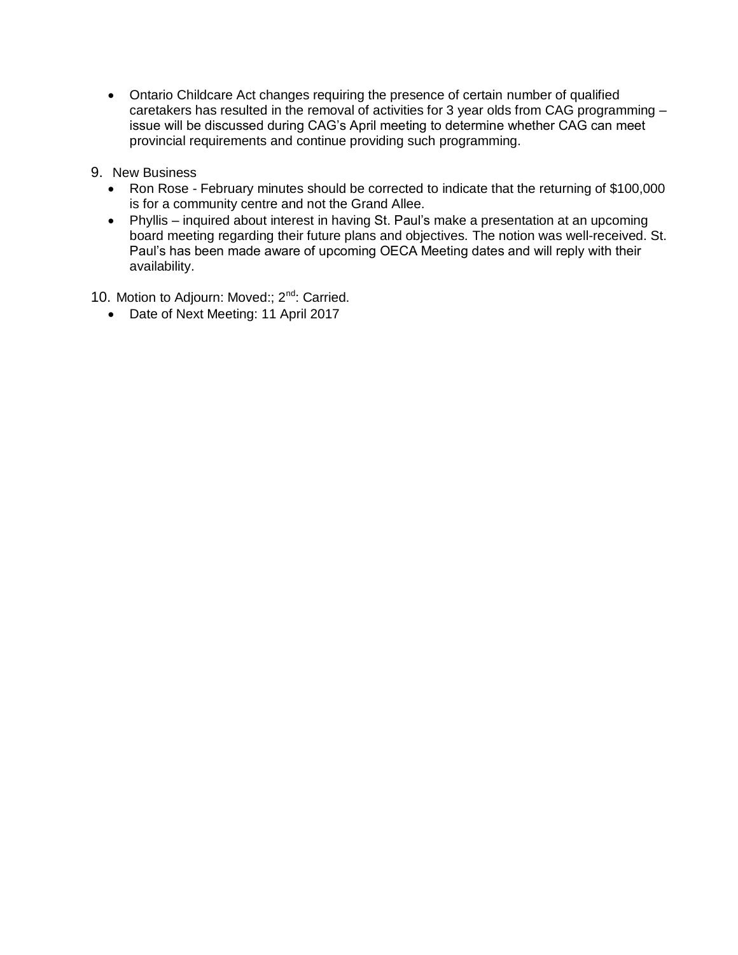- Ontario Childcare Act changes requiring the presence of certain number of qualified caretakers has resulted in the removal of activities for 3 year olds from CAG programming – issue will be discussed during CAG's April meeting to determine whether CAG can meet provincial requirements and continue providing such programming.
- 9. New Business
	- Ron Rose February minutes should be corrected to indicate that the returning of \$100,000 is for a community centre and not the Grand Allee.
	- Phyllis inquired about interest in having St. Paul's make a presentation at an upcoming board meeting regarding their future plans and objectives. The notion was well-received. St. Paul's has been made aware of upcoming OECA Meeting dates and will reply with their availability.
- 10. Motion to Adjourn: Moved:; 2<sup>nd</sup>: Carried.
	- Date of Next Meeting: 11 April 2017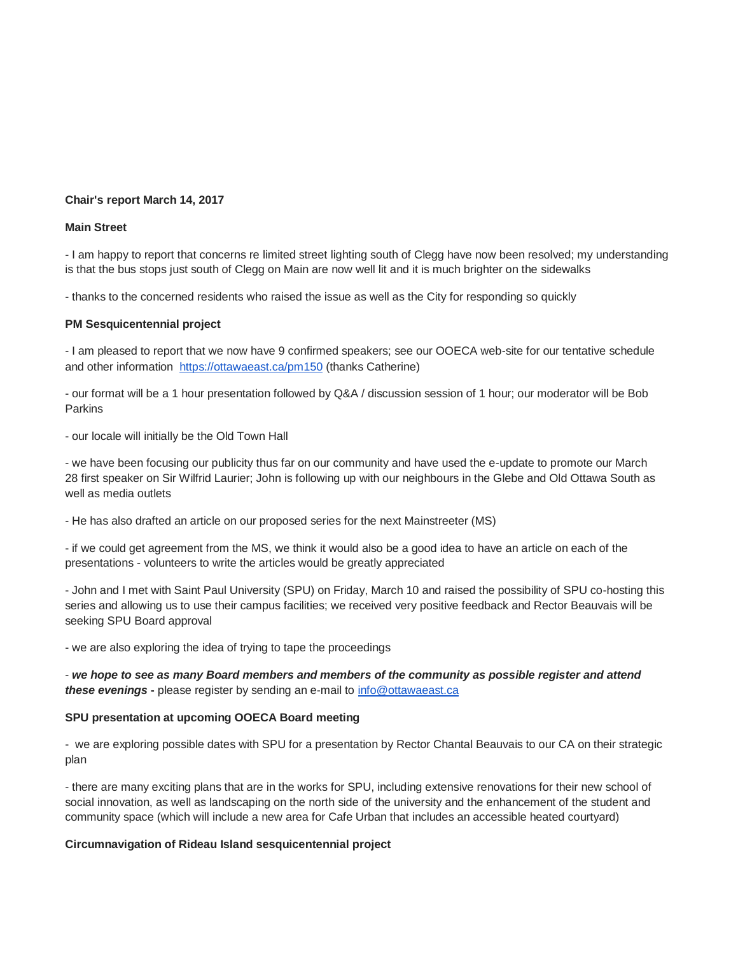#### **Chair's report March 14, 2017**

#### **Main Street**

- I am happy to report that concerns re limited street lighting south of Clegg have now been resolved; my understanding is that the bus stops just south of Clegg on Main are now well lit and it is much brighter on the sidewalks

- thanks to the concerned residents who raised the issue as well as the City for responding so quickly

#### **PM Sesquicentennial project**

- I am pleased to report that we now have 9 confirmed speakers; see our OOECA web-site for our tentative schedule and other information <https://ottawaeast.ca/pm150> (thanks Catherine)

- our format will be a 1 hour presentation followed by Q&A / discussion session of 1 hour; our moderator will be Bob Parkins

- our locale will initially be the Old Town Hall

- we have been focusing our publicity thus far on our community and have used the e-update to promote our March 28 first speaker on Sir Wilfrid Laurier; John is following up with our neighbours in the Glebe and Old Ottawa South as well as media outlets

- He has also drafted an article on our proposed series for the next Mainstreeter (MS)

- if we could get agreement from the MS, we think it would also be a good idea to have an article on each of the presentations - volunteers to write the articles would be greatly appreciated

- John and I met with Saint Paul University (SPU) on Friday, March 10 and raised the possibility of SPU co-hosting this series and allowing us to use their campus facilities; we received very positive feedback and Rector Beauvais will be seeking SPU Board approval

- we are also exploring the idea of trying to tape the proceedings

- *we hope to see as many Board members and members of the community as possible register and attend these evenings* **-** please register by sending an e-mail to [info@ottawaeast.ca](mailto:info@ottawaeast.ca)

#### **SPU presentation at upcoming OOECA Board meeting**

- we are exploring possible dates with SPU for a presentation by Rector Chantal Beauvais to our CA on their strategic plan

- there are many exciting plans that are in the works for SPU, including extensive renovations for their new school of social innovation, as well as landscaping on the north side of the university and the enhancement of the student and community space (which will include a new area for Cafe Urban that includes an accessible heated courtyard)

#### **Circumnavigation of Rideau Island sesquicentennial project**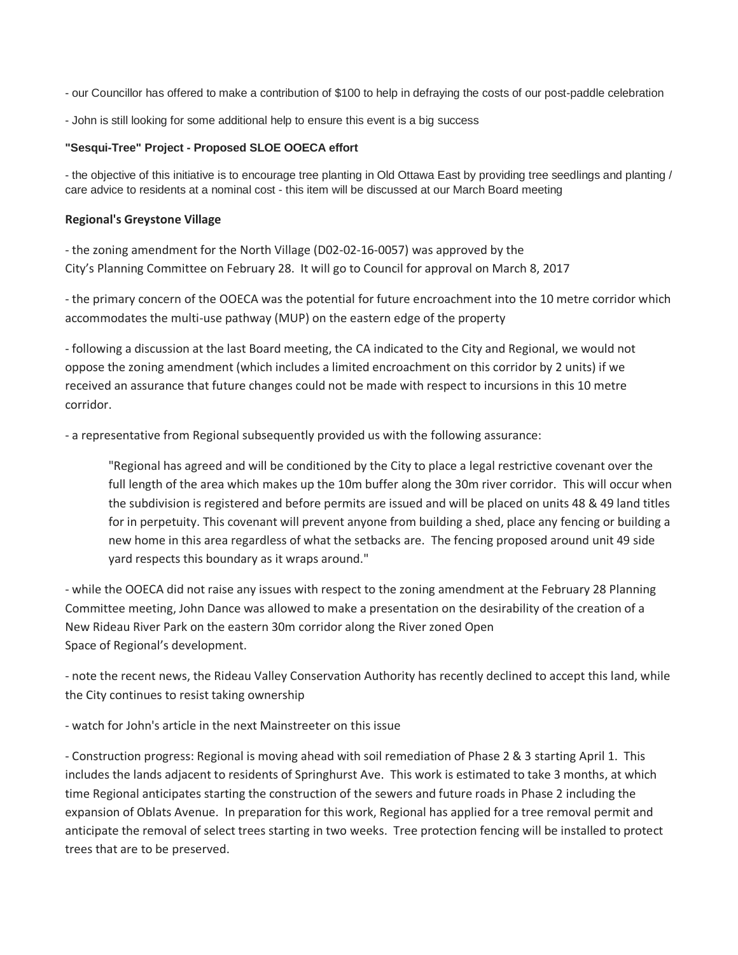- our Councillor has offered to make a contribution of \$100 to help in defraying the costs of our post-paddle celebration

- John is still looking for some additional help to ensure this event is a big success

## **"Sesqui-Tree" Project - Proposed SLOE OOECA effort**

- the objective of this initiative is to encourage tree planting in Old Ottawa East by providing tree seedlings and planting / care advice to residents at a nominal cost - this item will be discussed at our March Board meeting

## **Regional's Greystone Village**

- the zoning amendment for the North Village (D02-02-16-0057) was approved by the City's Planning Committee on February 28. It will go to Council for approval on March 8, 2017

- the primary concern of the OOECA was the potential for future encroachment into the 10 metre corridor which accommodates the multi-use pathway (MUP) on the eastern edge of the property

- following a discussion at the last Board meeting, the CA indicated to the City and Regional, we would not oppose the zoning amendment (which includes a limited encroachment on this corridor by 2 units) if we received an assurance that future changes could not be made with respect to incursions in this 10 metre corridor.

- a representative from Regional subsequently provided us with the following assurance:

"Regional has agreed and will be conditioned by the City to place a legal restrictive covenant over the full length of the area which makes up the 10m buffer along the 30m river corridor. This will occur when the subdivision is registered and before permits are issued and will be placed on units 48 & 49 land titles for in perpetuity. This covenant will prevent anyone from building a shed, place any fencing or building a new home in this area regardless of what the setbacks are. The fencing proposed around unit 49 side yard respects this boundary as it wraps around."

- while the OOECA did not raise any issues with respect to the zoning amendment at the February 28 Planning Committee meeting, John Dance was allowed to make a presentation on the desirability of the creation of a New Rideau River Park on the eastern 30m corridor along the River zoned Open Space of Regional's development.

- note the recent news, the Rideau Valley Conservation Authority has recently declined to accept this land, while the City continues to resist taking ownership

- watch for John's article in the next Mainstreeter on this issue

- Construction progress: Regional is moving ahead with soil remediation of Phase 2 & 3 starting April 1. This includes the lands adjacent to residents of Springhurst Ave. This work is estimated to take 3 months, at which time Regional anticipates starting the construction of the sewers and future roads in Phase 2 including the expansion of Oblats Avenue. In preparation for this work, Regional has applied for a tree removal permit and anticipate the removal of select trees starting in two weeks. Tree protection fencing will be installed to protect trees that are to be preserved.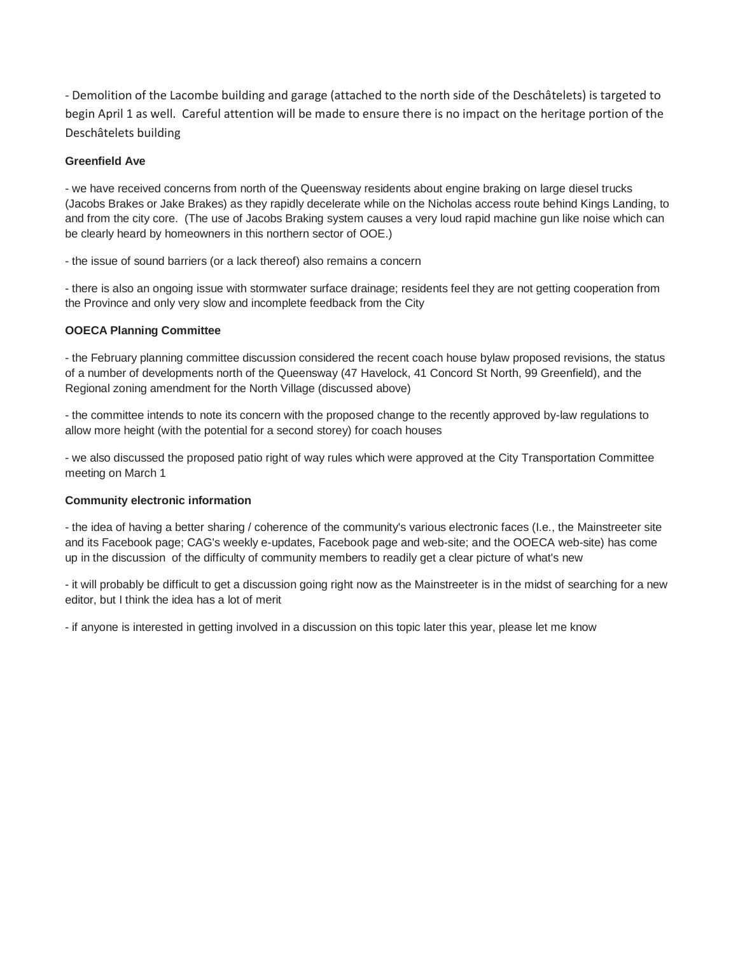- Demolition of the Lacombe building and garage (attached to the north side of the Deschâtelets) is targeted to begin April 1 as well. Careful attention will be made to ensure there is no impact on the heritage portion of the Deschâtelets building

## **Greenfield Ave**

- we have received concerns from north of the Queensway residents about engine braking on large diesel trucks (Jacobs Brakes or Jake Brakes) as they rapidly decelerate while on the Nicholas access route behind Kings Landing, to and from the city core. (The use of Jacobs Braking system causes a very loud rapid machine gun like noise which can be clearly heard by homeowners in this northern sector of OOE.)

- the issue of sound barriers (or a lack thereof) also remains a concern

- there is also an ongoing issue with stormwater surface drainage; residents feel they are not getting cooperation from the Province and only very slow and incomplete feedback from the City

## **OOECA Planning Committee**

- the February planning committee discussion considered the recent coach house bylaw proposed revisions, the status of a number of developments north of the Queensway (47 Havelock, 41 Concord St North, 99 Greenfield), and the Regional zoning amendment for the North Village (discussed above)

- the committee intends to note its concern with the proposed change to the recently approved by-law regulations to allow more height (with the potential for a second storey) for coach houses

- we also discussed the proposed patio right of way rules which were approved at the City Transportation Committee meeting on March 1

## **Community electronic information**

- the idea of having a better sharing / coherence of the community's various electronic faces (I.e., the Mainstreeter site and its Facebook page; CAG's weekly e-updates, Facebook page and web-site; and the OOECA web-site) has come up in the discussion of the difficulty of community members to readily get a clear picture of what's new

- it will probably be difficult to get a discussion going right now as the Mainstreeter is in the midst of searching for a new editor, but I think the idea has a lot of merit

- if anyone is interested in getting involved in a discussion on this topic later this year, please let me know